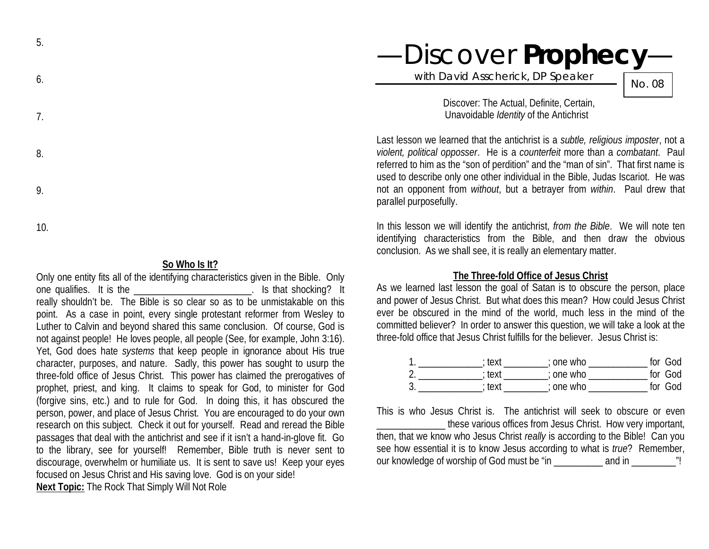| 6. |  |
|----|--|
| 7. |  |
| 8. |  |
| 9. |  |

5.

10.

### **So Who Is It?**

Only one entity fits all of the identifying characteristics given in the Bible. Only one qualifies. It is the **EXECUTE:** It is the cone qualifies. It is that shocking? It really shouldn't be. The Bible is so clear so as to be unmistakable on this point. As a case in point, every single protestant reformer from Wesley to Luther to Calvin and beyond shared this same conclusion. Of course, God is not against people! He loves people, all people (See, for example, John 3:16). Yet, God does hate *systems* that keep people in ignorance about His true character, purposes, and nature. Sadly, this power has sought to usurp the three-fold office of Jesus Christ. This power has claimed the prerogatives of prophet, priest, and king. It claims to speak for God, to minister for God (forgive sins, etc.) and to rule for God. In doing this, it has obscured the person, power, and place of Jesus Christ. You are encouraged to do your own research on this subject. Check it out for yourself. Read and reread the Bible passages that deal with the antichrist and see if it isn't a hand-in-glove fit. Go to the library, see for yourself! Remember, Bible truth is never sent to discourage, overwhelm or humiliate us. It is sent to save us! Keep your eyes focused on Jesus Christ and His saving love. God is on your side! **Next Topic:** The Rock That Simply Will Not Role

# —Discover **Prophecy**—

with David Asscherick, DP Speaker

No. 08

Discover: The Actual, Definite, Certain, Unavoidable *Identity* of the Antichrist

Last lesson we learned that the antichrist is a *subtle, religious imposter*, not a *violent, political opposser*. He is a *counterfeit* more than a *combatant*. Paul referred to him as the "son of perdition" and the "man of sin". That first name is used to describe only one other individual in the Bible, Judas Iscariot. He was not an opponent from *without*, but a betrayer from *within*. Paul drew that parallel purposefully.

In this lesson we will identify the antichrist, *from the Bible*. We will note ten identifying characteristics from the Bible, and then draw the obvious conclusion. As we shall see, it is really an elementary matter.

## **The Three-fold Office of Jesus Christ**

As we learned last lesson the goal of Satan is to obscure the person, place and power of Jesus Christ. But what does this mean? How could Jesus Christ ever be obscured in the mind of the world, much less in the mind of the committed believer? In order to answer this question, we will take a look at the three-fold office that Jesus Christ fulfills for the believer. Jesus Christ is:

|   | ∶text  | ; one who   | for God |
|---|--------|-------------|---------|
|   | ; text | $:$ one who | for God |
| u | : text | $:$ one who | for God |

This is who Jesus Christ is. The antichrist will seek to obscure or even

these various offices from Jesus Christ. How very important, then, that we know who Jesus Christ *really* is according to the Bible! Can you see how essential it is to know Jesus according to what is *true*? Remember, our knowledge of worship of God must be "in \_\_\_\_\_\_\_\_\_\_ and in \_\_\_\_\_\_\_\_\_"!